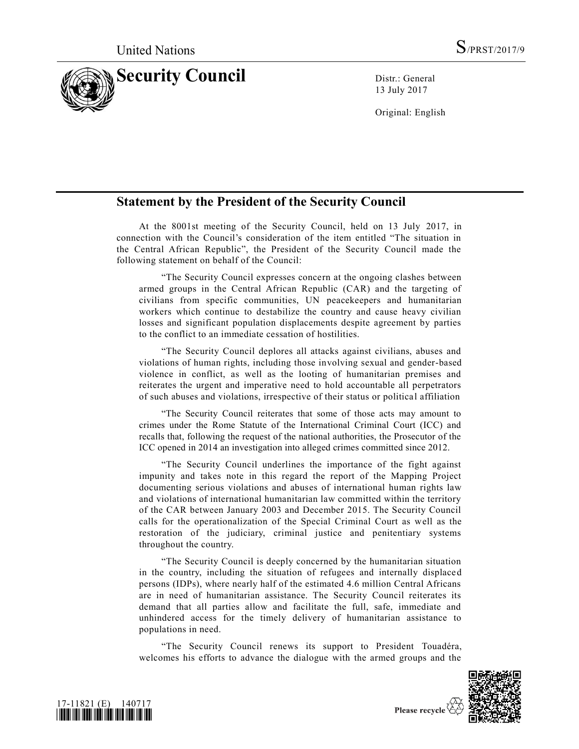

13 July 2017

Original: English

## **Statement by the President of the Security Council**

At the 8001st meeting of the Security Council, held on 13 July 2017, in connection with the Council's consideration of the item entitled "The situation in the Central African Republic", the President of the Security Council made the following statement on behalf of the Council:

"The Security Council expresses concern at the ongoing clashes between armed groups in the Central African Republic (CAR) and the targeting of civilians from specific communities, UN peacekeepers and humanitarian workers which continue to destabilize the country and cause heavy civilian losses and significant population displacements despite agreement by parties to the conflict to an immediate cessation of hostilities.

"The Security Council deplores all attacks against civilians, abuses and violations of human rights, including those involving sexual and gender-based violence in conflict, as well as the looting of humanitarian premises and reiterates the urgent and imperative need to hold accountable all perpetrators of such abuses and violations, irrespective of their status or political affiliation

"The Security Council reiterates that some of those acts may amount to crimes under the Rome Statute of the International Criminal Court (ICC) and recalls that, following the request of the national authorities, the Prosecutor of the ICC opened in 2014 an investigation into alleged crimes committed since 2012.

"The Security Council underlines the importance of the fight against impunity and takes note in this regard the report of the Mapping Project documenting serious violations and abuses of international human rights law and violations of international humanitarian law committed within the territory of the CAR between January 2003 and December 2015. The Security Council calls for the operationalization of the Special Criminal Court as well as the restoration of the judiciary, criminal justice and penitentiary systems throughout the country.

"The Security Council is deeply concerned by the humanitarian situation in the country, including the situation of refugees and internally displaced persons (IDPs), where nearly half of the estimated 4.6 million Central Africans are in need of humanitarian assistance. The Security Council reiterates its demand that all parties allow and facilitate the full, safe, immediate and unhindered access for the timely delivery of humanitarian assistance to populations in need.

"The Security Council renews its support to President Touadéra, welcomes his efforts to advance the dialogue with the armed groups and the





Please recycle  $\mathbb{R}$